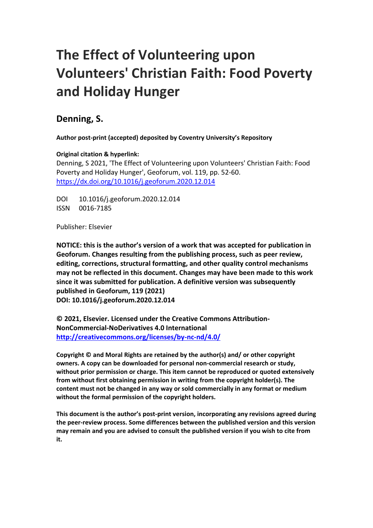# **The Effect of Volunteering upon Volunteers' Christian Faith: Food Poverty and Holiday Hunger**

### **Denning, S.**

**Author post-print (accepted) deposited by Coventry University's Repository**

**Original citation & hyperlink:**

Denning, S 2021, 'The Effect of Volunteering upon Volunteers' Christian Faith: Food Poverty and Holiday Hunger', Geoforum, vol. 119, pp. 52-60. <https://dx.doi.org/10.1016/j.geoforum.2020.12.014>

DOI 10.1016/j.geoforum.2020.12.014 ISSN 0016-7185

Publisher: Elsevier

**NOTICE: this is the author's version of a work that was accepted for publication in Geoforum. Changes resulting from the publishing process, such as peer review, editing, corrections, structural formatting, and other quality control mechanisms may not be reflected in this document. Changes may have been made to this work since it was submitted for publication. A definitive version was subsequently published in Geoforum, 119 (2021) DOI: 10.1016/j.geoforum.2020.12.014**

**© 2021, Elsevier. Licensed under the Creative Commons Attribution-NonCommercial-NoDerivatives 4.0 International <http://creativecommons.org/licenses/by-nc-nd/4.0/>**

**Copyright © and Moral Rights are retained by the author(s) and/ or other copyright owners. A copy can be downloaded for personal non-commercial research or study, without prior permission or charge. This item cannot be reproduced or quoted extensively from without first obtaining permission in writing from the copyright holder(s). The content must not be changed in any way or sold commercially in any format or medium without the formal permission of the copyright holders.** 

**This document is the author's post-print version, incorporating any revisions agreed during the peer-review process. Some differences between the published version and this version may remain and you are advised to consult the published version if you wish to cite from it.**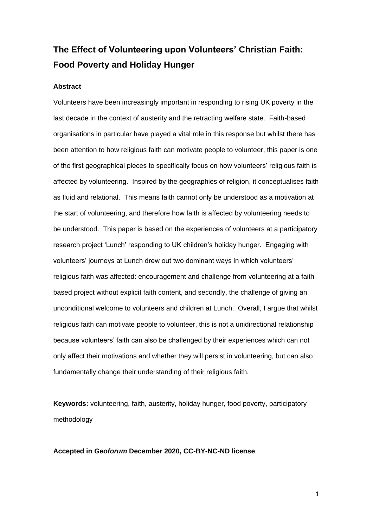# **The Effect of Volunteering upon Volunteers' Christian Faith: Food Poverty and Holiday Hunger**

#### **Abstract**

Volunteers have been increasingly important in responding to rising UK poverty in the last decade in the context of austerity and the retracting welfare state. Faith-based organisations in particular have played a vital role in this response but whilst there has been attention to how religious faith can motivate people to volunteer, this paper is one of the first geographical pieces to specifically focus on how volunteers' religious faith is affected by volunteering. Inspired by the geographies of religion, it conceptualises faith as fluid and relational. This means faith cannot only be understood as a motivation at the start of volunteering, and therefore how faith is affected by volunteering needs to be understood. This paper is based on the experiences of volunteers at a participatory research project 'Lunch' responding to UK children's holiday hunger. Engaging with volunteers' journeys at Lunch drew out two dominant ways in which volunteers' religious faith was affected: encouragement and challenge from volunteering at a faithbased project without explicit faith content, and secondly, the challenge of giving an unconditional welcome to volunteers and children at Lunch. Overall, I argue that whilst religious faith can motivate people to volunteer, this is not a unidirectional relationship because volunteers' faith can also be challenged by their experiences which can not only affect their motivations and whether they will persist in volunteering, but can also fundamentally change their understanding of their religious faith.

**Keywords:** volunteering, faith, austerity, holiday hunger, food poverty, participatory methodology

**Accepted in** *Geoforum* **December 2020, CC-BY-NC-ND license**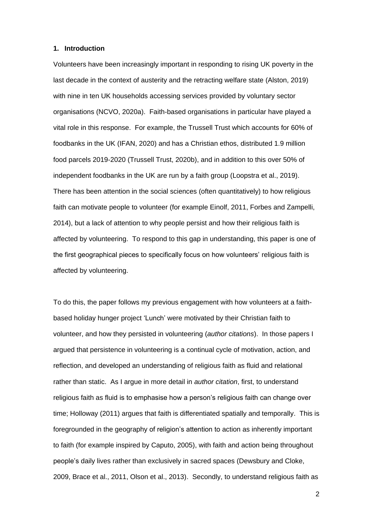#### **1. Introduction**

Volunteers have been increasingly important in responding to rising UK poverty in the last decade in the context of austerity and the retracting welfare state (Alston, 2019) with nine in ten UK households accessing services provided by voluntary sector organisations (NCVO, 2020a). Faith-based organisations in particular have played a vital role in this response. For example, the Trussell Trust which accounts for 60% of foodbanks in the UK (IFAN, 2020) and has a Christian ethos, distributed 1.9 million food parcels 2019-2020 (Trussell Trust, 2020b), and in addition to this over 50% of independent foodbanks in the UK are run by a faith group (Loopstra et al., 2019). There has been attention in the social sciences (often quantitatively) to how religious faith can motivate people to volunteer (for example Einolf, 2011, Forbes and Zampelli, 2014), but a lack of attention to why people persist and how their religious faith is affected by volunteering. To respond to this gap in understanding, this paper is one of the first geographical pieces to specifically focus on how volunteers' religious faith is affected by volunteering.

To do this, the paper follows my previous engagement with how volunteers at a faithbased holiday hunger project 'Lunch' were motivated by their Christian faith to volunteer, and how they persisted in volunteering (*author citations*). In those papers I argued that persistence in volunteering is a continual cycle of motivation, action, and reflection, and developed an understanding of religious faith as fluid and relational rather than static. As I argue in more detail in *author citation*, first, to understand religious faith as fluid is to emphasise how a person's religious faith can change over time; Holloway (2011) argues that faith is differentiated spatially and temporally. This is foregrounded in the geography of religion's attention to action as inherently important to faith (for example inspired by Caputo, 2005), with faith and action being throughout people's daily lives rather than exclusively in sacred spaces (Dewsbury and Cloke, 2009, Brace et al., 2011, Olson et al., 2013). Secondly, to understand religious faith as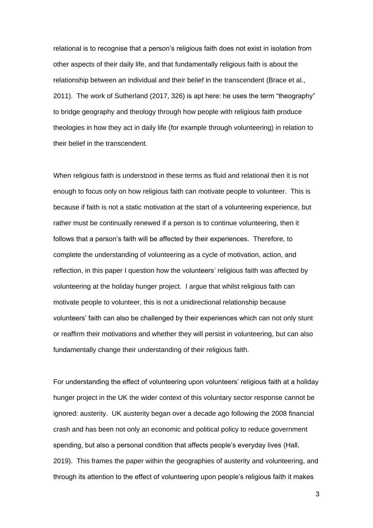relational is to recognise that a person's religious faith does not exist in isolation from other aspects of their daily life, and that fundamentally religious faith is about the relationship between an individual and their belief in the transcendent (Brace et al., 2011). The work of Sutherland (2017, 326) is apt here: he uses the term "theography" to bridge geography and theology through how people with religious faith produce theologies in how they act in daily life (for example through volunteering) in relation to their belief in the transcendent.

When religious faith is understood in these terms as fluid and relational then it is not enough to focus only on how religious faith can motivate people to volunteer. This is because if faith is not a static motivation at the start of a volunteering experience, but rather must be continually renewed if a person is to continue volunteering, then it follows that a person's faith will be affected by their experiences. Therefore, to complete the understanding of volunteering as a cycle of motivation, action, and reflection, in this paper I question how the volunteers' religious faith was affected by volunteering at the holiday hunger project. I argue that whilst religious faith can motivate people to volunteer, this is not a unidirectional relationship because volunteers' faith can also be challenged by their experiences which can not only stunt or reaffirm their motivations and whether they will persist in volunteering, but can also fundamentally change their understanding of their religious faith.

For understanding the effect of volunteering upon volunteers' religious faith at a holiday hunger project in the UK the wider context of this voluntary sector response cannot be ignored: austerity. UK austerity began over a decade ago following the 2008 financial crash and has been not only an economic and political policy to reduce government spending, but also a personal condition that affects people's everyday lives (Hall, 2019). This frames the paper within the geographies of austerity and volunteering, and through its attention to the effect of volunteering upon people's religious faith it makes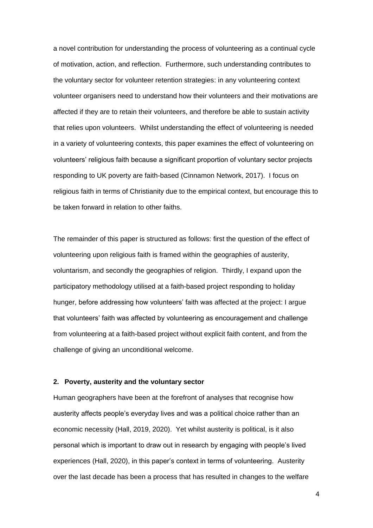a novel contribution for understanding the process of volunteering as a continual cycle of motivation, action, and reflection. Furthermore, such understanding contributes to the voluntary sector for volunteer retention strategies: in any volunteering context volunteer organisers need to understand how their volunteers and their motivations are affected if they are to retain their volunteers, and therefore be able to sustain activity that relies upon volunteers. Whilst understanding the effect of volunteering is needed in a variety of volunteering contexts, this paper examines the effect of volunteering on volunteers' religious faith because a significant proportion of voluntary sector projects responding to UK poverty are faith-based (Cinnamon Network, 2017). I focus on religious faith in terms of Christianity due to the empirical context, but encourage this to be taken forward in relation to other faiths.

The remainder of this paper is structured as follows: first the question of the effect of volunteering upon religious faith is framed within the geographies of austerity, voluntarism, and secondly the geographies of religion. Thirdly, I expand upon the participatory methodology utilised at a faith-based project responding to holiday hunger, before addressing how volunteers' faith was affected at the project: I argue that volunteers' faith was affected by volunteering as encouragement and challenge from volunteering at a faith-based project without explicit faith content, and from the challenge of giving an unconditional welcome.

### **2. Poverty, austerity and the voluntary sector**

Human geographers have been at the forefront of analyses that recognise how austerity affects people's everyday lives and was a political choice rather than an economic necessity (Hall, 2019, 2020). Yet whilst austerity is political, is it also personal which is important to draw out in research by engaging with people's lived experiences (Hall, 2020), in this paper's context in terms of volunteering. Austerity over the last decade has been a process that has resulted in changes to the welfare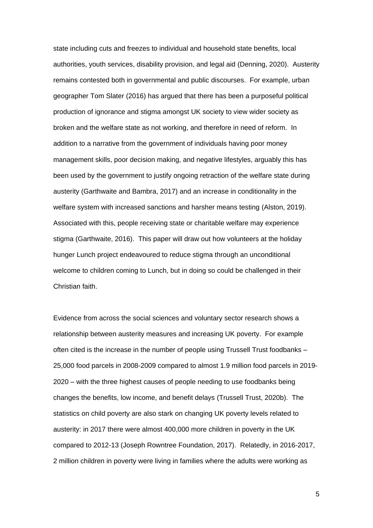state including cuts and freezes to individual and household state benefits, local authorities, youth services, disability provision, and legal aid (Denning, 2020). Austerity remains contested both in governmental and public discourses. For example, urban geographer Tom Slater (2016) has argued that there has been a purposeful political production of ignorance and stigma amongst UK society to view wider society as broken and the welfare state as not working, and therefore in need of reform. In addition to a narrative from the government of individuals having poor money management skills, poor decision making, and negative lifestyles, arguably this has been used by the government to justify ongoing retraction of the welfare state during austerity (Garthwaite and Bambra, 2017) and an increase in conditionality in the welfare system with increased sanctions and harsher means testing (Alston, 2019). Associated with this, people receiving state or charitable welfare may experience stigma (Garthwaite, 2016). This paper will draw out how volunteers at the holiday hunger Lunch project endeavoured to reduce stigma through an unconditional welcome to children coming to Lunch, but in doing so could be challenged in their Christian faith.

Evidence from across the social sciences and voluntary sector research shows a relationship between austerity measures and increasing UK poverty. For example often cited is the increase in the number of people using Trussell Trust foodbanks – 25,000 food parcels in 2008-2009 compared to almost 1.9 million food parcels in 2019- 2020 – with the three highest causes of people needing to use foodbanks being changes the benefits, low income, and benefit delays (Trussell Trust, 2020b). The statistics on child poverty are also stark on changing UK poverty levels related to austerity: in 2017 there were almost 400,000 more children in poverty in the UK compared to 2012-13 (Joseph Rowntree Foundation, 2017). Relatedly, in 2016-2017, 2 million children in poverty were living in families where the adults were working as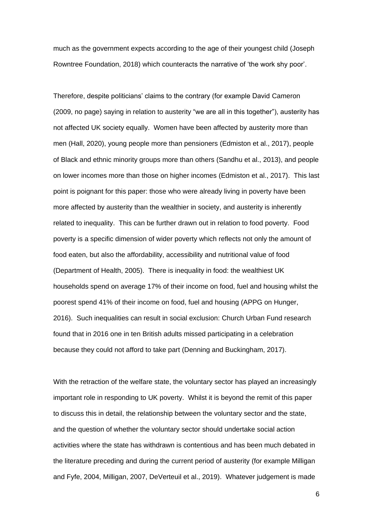much as the government expects according to the age of their youngest child (Joseph Rowntree Foundation, 2018) which counteracts the narrative of 'the work shy poor'.

Therefore, despite politicians' claims to the contrary (for example David Cameron (2009, no page) saying in relation to austerity "we are all in this together"), austerity has not affected UK society equally. Women have been affected by austerity more than men (Hall, 2020), young people more than pensioners (Edmiston et al., 2017), people of Black and ethnic minority groups more than others (Sandhu et al., 2013), and people on lower incomes more than those on higher incomes (Edmiston et al., 2017). This last point is poignant for this paper: those who were already living in poverty have been more affected by austerity than the wealthier in society, and austerity is inherently related to inequality. This can be further drawn out in relation to food poverty. Food poverty is a specific dimension of wider poverty which reflects not only the amount of food eaten, but also the affordability, accessibility and nutritional value of food (Department of Health, 2005). There is inequality in food: the wealthiest UK households spend on average 17% of their income on food, fuel and housing whilst the poorest spend 41% of their income on food, fuel and housing (APPG on Hunger, 2016). Such inequalities can result in social exclusion: Church Urban Fund research found that in 2016 one in ten British adults missed participating in a celebration because they could not afford to take part (Denning and Buckingham, 2017).

With the retraction of the welfare state, the voluntary sector has played an increasingly important role in responding to UK poverty. Whilst it is beyond the remit of this paper to discuss this in detail, the relationship between the voluntary sector and the state, and the question of whether the voluntary sector should undertake social action activities where the state has withdrawn is contentious and has been much debated in the literature preceding and during the current period of austerity (for example Milligan and Fyfe, 2004, Milligan, 2007, DeVerteuil et al., 2019). Whatever judgement is made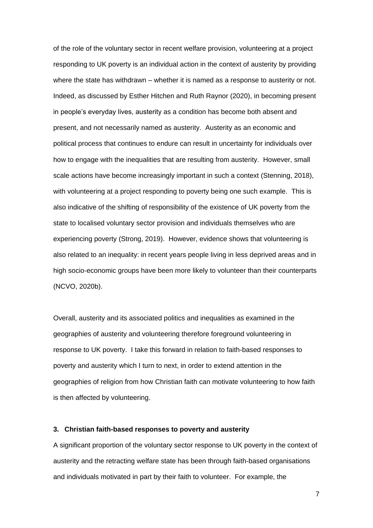of the role of the voluntary sector in recent welfare provision, volunteering at a project responding to UK poverty is an individual action in the context of austerity by providing where the state has withdrawn – whether it is named as a response to austerity or not. Indeed, as discussed by Esther Hitchen and Ruth Raynor (2020), in becoming present in people's everyday lives, austerity as a condition has become both absent and present, and not necessarily named as austerity. Austerity as an economic and political process that continues to endure can result in uncertainty for individuals over how to engage with the inequalities that are resulting from austerity. However, small scale actions have become increasingly important in such a context (Stenning, 2018), with volunteering at a project responding to poverty being one such example. This is also indicative of the shifting of responsibility of the existence of UK poverty from the state to localised voluntary sector provision and individuals themselves who are experiencing poverty (Strong, 2019). However, evidence shows that volunteering is also related to an inequality: in recent years people living in less deprived areas and in high socio-economic groups have been more likely to volunteer than their counterparts (NCVO, 2020b).

Overall, austerity and its associated politics and inequalities as examined in the geographies of austerity and volunteering therefore foreground volunteering in response to UK poverty. I take this forward in relation to faith-based responses to poverty and austerity which I turn to next, in order to extend attention in the geographies of religion from how Christian faith can motivate volunteering to how faith is then affected by volunteering.

### **3. Christian faith-based responses to poverty and austerity**

A significant proportion of the voluntary sector response to UK poverty in the context of austerity and the retracting welfare state has been through faith-based organisations and individuals motivated in part by their faith to volunteer. For example, the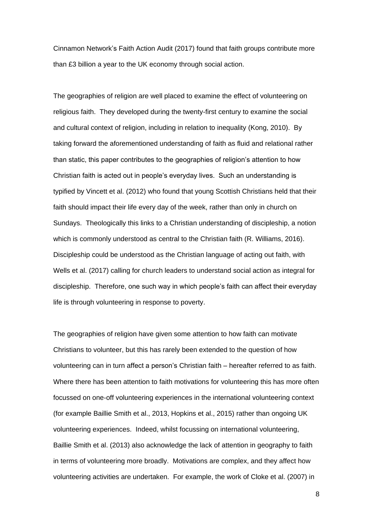Cinnamon Network's Faith Action Audit (2017) found that faith groups contribute more than £3 billion a year to the UK economy through social action.

The geographies of religion are well placed to examine the effect of volunteering on religious faith. They developed during the twenty-first century to examine the social and cultural context of religion, including in relation to inequality (Kong, 2010). By taking forward the aforementioned understanding of faith as fluid and relational rather than static, this paper contributes to the geographies of religion's attention to how Christian faith is acted out in people's everyday lives. Such an understanding is typified by Vincett et al. (2012) who found that young Scottish Christians held that their faith should impact their life every day of the week, rather than only in church on Sundays. Theologically this links to a Christian understanding of discipleship, a notion which is commonly understood as central to the Christian faith (R. Williams, 2016). Discipleship could be understood as the Christian language of acting out faith, with Wells et al. (2017) calling for church leaders to understand social action as integral for discipleship. Therefore, one such way in which people's faith can affect their everyday life is through volunteering in response to poverty.

The geographies of religion have given some attention to how faith can motivate Christians to volunteer, but this has rarely been extended to the question of how volunteering can in turn affect a person's Christian faith – hereafter referred to as faith. Where there has been attention to faith motivations for volunteering this has more often focussed on one-off volunteering experiences in the international volunteering context (for example Baillie Smith et al., 2013, Hopkins et al., 2015) rather than ongoing UK volunteering experiences. Indeed, whilst focussing on international volunteering, Baillie Smith et al. (2013) also acknowledge the lack of attention in geography to faith in terms of volunteering more broadly. Motivations are complex, and they affect how volunteering activities are undertaken. For example, the work of Cloke et al. (2007) in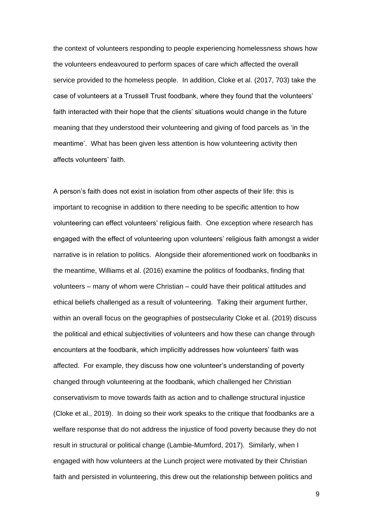the context of volunteers responding to people experiencing homelessness shows how the volunteers endeavoured to perform spaces of care which affected the overall service provided to the homeless people. In addition, Cloke et al. (2017, 703) take the case of volunteers at a Trussell Trust foodbank, where they found that the volunteers' faith interacted with their hope that the clients' situations would change in the future meaning that they understood their volunteering and giving of food parcels as 'in the meantime'. What has been given less attention is how volunteering activity then affects volunteers' faith.

A person's faith does not exist in isolation from other aspects of their life: this is important to recognise in addition to there needing to be specific attention to how volunteering can effect volunteers' religious faith. One exception where research has engaged with the effect of volunteering upon volunteers' religious faith amongst a wider narrative is in relation to politics. Alongside their aforementioned work on foodbanks in the meantime, Williams et al. (2016) examine the politics of foodbanks, finding that volunteers – many of whom were Christian – could have their political attitudes and ethical beliefs challenged as a result of volunteering. Taking their argument further, within an overall focus on the geographies of postsecularity Cloke et al. (2019) discuss the political and ethical subjectivities of volunteers and how these can change through encounters at the foodbank, which implicitly addresses how volunteers' faith was affected. For example, they discuss how one volunteer's understanding of poverty changed through volunteering at the foodbank, which challenged her Christian conservativism to move towards faith as action and to challenge structural injustice (Cloke et al., 2019). In doing so their work speaks to the critique that foodbanks are a welfare response that do not address the injustice of food poverty because they do not result in structural or political change (Lambie-Mumford, 2017). Similarly, when I engaged with how volunteers at the Lunch project were motivated by their Christian faith and persisted in volunteering, this drew out the relationship between politics and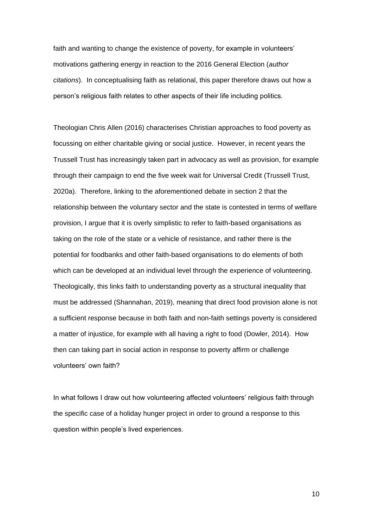faith and wanting to change the existence of poverty, for example in volunteers' motivations gathering energy in reaction to the 2016 General Election (*author citations*). In conceptualising faith as relational, this paper therefore draws out how a person's religious faith relates to other aspects of their life including politics.

Theologian Chris Allen (2016) characterises Christian approaches to food poverty as focussing on either charitable giving or social justice. However, in recent years the Trussell Trust has increasingly taken part in advocacy as well as provision, for example through their campaign to end the five week wait for Universal Credit (Trussell Trust, 2020a). Therefore, linking to the aforementioned debate in section 2 that the relationship between the voluntary sector and the state is contested in terms of welfare provision, I argue that it is overly simplistic to refer to faith-based organisations as taking on the role of the state or a vehicle of resistance, and rather there is the potential for foodbanks and other faith-based organisations to do elements of both which can be developed at an individual level through the experience of volunteering. Theologically, this links faith to understanding poverty as a structural inequality that must be addressed (Shannahan, 2019), meaning that direct food provision alone is not a sufficient response because in both faith and non-faith settings poverty is considered a matter of injustice, for example with all having a right to food (Dowler, 2014). How then can taking part in social action in response to poverty affirm or challenge volunteers' own faith?

In what follows I draw out how volunteering affected volunteers' religious faith through the specific case of a holiday hunger project in order to ground a response to this question within people's lived experiences.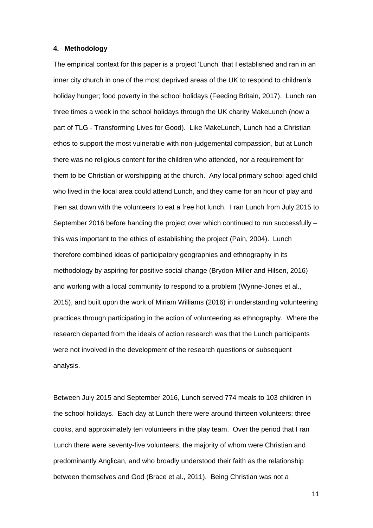### **4. Methodology**

The empirical context for this paper is a project 'Lunch' that I established and ran in an inner city church in one of the most deprived areas of the UK to respond to children's holiday hunger; food poverty in the school holidays (Feeding Britain, 2017). Lunch ran three times a week in the school holidays through the UK charity MakeLunch (now a part of TLG - Transforming Lives for Good). Like MakeLunch, Lunch had a Christian ethos to support the most vulnerable with non-judgemental compassion, but at Lunch there was no religious content for the children who attended, nor a requirement for them to be Christian or worshipping at the church. Any local primary school aged child who lived in the local area could attend Lunch, and they came for an hour of play and then sat down with the volunteers to eat a free hot lunch. I ran Lunch from July 2015 to September 2016 before handing the project over which continued to run successfully – this was important to the ethics of establishing the project (Pain, 2004). Lunch therefore combined ideas of participatory geographies and ethnography in its methodology by aspiring for positive social change (Brydon-Miller and Hilsen, 2016) and working with a local community to respond to a problem (Wynne-Jones et al., 2015), and built upon the work of Miriam Williams (2016) in understanding volunteering practices through participating in the action of volunteering as ethnography. Where the research departed from the ideals of action research was that the Lunch participants were not involved in the development of the research questions or subsequent analysis.

Between July 2015 and September 2016, Lunch served 774 meals to 103 children in the school holidays. Each day at Lunch there were around thirteen volunteers; three cooks, and approximately ten volunteers in the play team. Over the period that I ran Lunch there were seventy-five volunteers, the majority of whom were Christian and predominantly Anglican, and who broadly understood their faith as the relationship between themselves and God (Brace et al., 2011). Being Christian was not a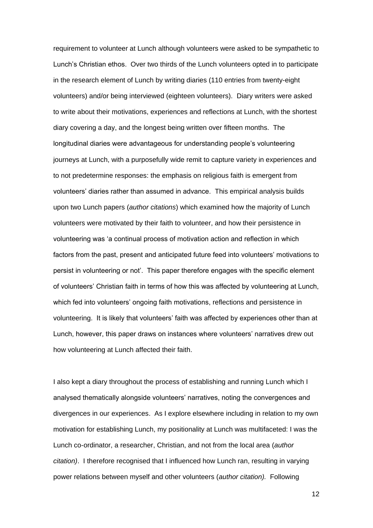requirement to volunteer at Lunch although volunteers were asked to be sympathetic to Lunch's Christian ethos. Over two thirds of the Lunch volunteers opted in to participate in the research element of Lunch by writing diaries (110 entries from twenty-eight volunteers) and/or being interviewed (eighteen volunteers). Diary writers were asked to write about their motivations, experiences and reflections at Lunch, with the shortest diary covering a day, and the longest being written over fifteen months. The longitudinal diaries were advantageous for understanding people's volunteering journeys at Lunch, with a purposefully wide remit to capture variety in experiences and to not predetermine responses: the emphasis on religious faith is emergent from volunteers' diaries rather than assumed in advance. This empirical analysis builds upon two Lunch papers (*author citations*) which examined how the majority of Lunch volunteers were motivated by their faith to volunteer, and how their persistence in volunteering was 'a continual process of motivation action and reflection in which factors from the past, present and anticipated future feed into volunteers' motivations to persist in volunteering or not'. This paper therefore engages with the specific element of volunteers' Christian faith in terms of how this was affected by volunteering at Lunch, which fed into volunteers' ongoing faith motivations, reflections and persistence in volunteering. It is likely that volunteers' faith was affected by experiences other than at Lunch, however, this paper draws on instances where volunteers' narratives drew out how volunteering at Lunch affected their faith.

I also kept a diary throughout the process of establishing and running Lunch which I analysed thematically alongside volunteers' narratives, noting the convergences and divergences in our experiences. As I explore elsewhere including in relation to my own motivation for establishing Lunch, my positionality at Lunch was multifaceted: I was the Lunch co-ordinator, a researcher, Christian, and not from the local area (*author citation)*. I therefore recognised that I influenced how Lunch ran, resulting in varying power relations between myself and other volunteers (*author citation).* Following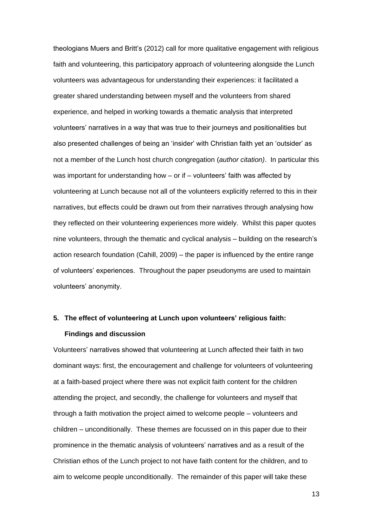theologians Muers and Britt's (2012) call for more qualitative engagement with religious faith and volunteering, this participatory approach of volunteering alongside the Lunch volunteers was advantageous for understanding their experiences: it facilitated a greater shared understanding between myself and the volunteers from shared experience, and helped in working towards a thematic analysis that interpreted volunteers' narratives in a way that was true to their journeys and positionalities but also presented challenges of being an 'insider' with Christian faith yet an 'outsider' as not a member of the Lunch host church congregation (*author citation)*. In particular this was important for understanding how – or if – volunteers' faith was affected by volunteering at Lunch because not all of the volunteers explicitly referred to this in their narratives, but effects could be drawn out from their narratives through analysing how they reflected on their volunteering experiences more widely. Whilst this paper quotes nine volunteers, through the thematic and cyclical analysis – building on the research's action research foundation (Cahill, 2009) – the paper is influenced by the entire range of volunteers' experiences. Throughout the paper pseudonyms are used to maintain volunteers' anonymity.

## **5. The effect of volunteering at Lunch upon volunteers' religious faith: Findings and discussion**

Volunteers' narratives showed that volunteering at Lunch affected their faith in two dominant ways: first, the encouragement and challenge for volunteers of volunteering at a faith-based project where there was not explicit faith content for the children attending the project, and secondly, the challenge for volunteers and myself that through a faith motivation the project aimed to welcome people – volunteers and children – unconditionally. These themes are focussed on in this paper due to their prominence in the thematic analysis of volunteers' narratives and as a result of the Christian ethos of the Lunch project to not have faith content for the children, and to aim to welcome people unconditionally. The remainder of this paper will take these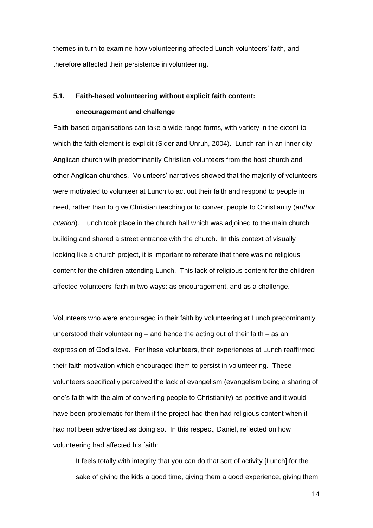themes in turn to examine how volunteering affected Lunch volunteers' faith, and therefore affected their persistence in volunteering.

### **5.1. Faith-based volunteering without explicit faith content: encouragement and challenge**

Faith-based organisations can take a wide range forms, with variety in the extent to which the faith element is explicit (Sider and Unruh, 2004). Lunch ran in an inner city Anglican church with predominantly Christian volunteers from the host church and other Anglican churches. Volunteers' narratives showed that the majority of volunteers were motivated to volunteer at Lunch to act out their faith and respond to people in need, rather than to give Christian teaching or to convert people to Christianity (*author citation*). Lunch took place in the church hall which was adjoined to the main church building and shared a street entrance with the church. In this context of visually looking like a church project, it is important to reiterate that there was no religious content for the children attending Lunch. This lack of religious content for the children affected volunteers' faith in two ways: as encouragement, and as a challenge.

Volunteers who were encouraged in their faith by volunteering at Lunch predominantly understood their volunteering – and hence the acting out of their faith – as an expression of God's love. For these volunteers, their experiences at Lunch reaffirmed their faith motivation which encouraged them to persist in volunteering. These volunteers specifically perceived the lack of evangelism (evangelism being a sharing of one's faith with the aim of converting people to Christianity) as positive and it would have been problematic for them if the project had then had religious content when it had not been advertised as doing so. In this respect, Daniel, reflected on how volunteering had affected his faith:

It feels totally with integrity that you can do that sort of activity [Lunch] for the sake of giving the kids a good time, giving them a good experience, giving them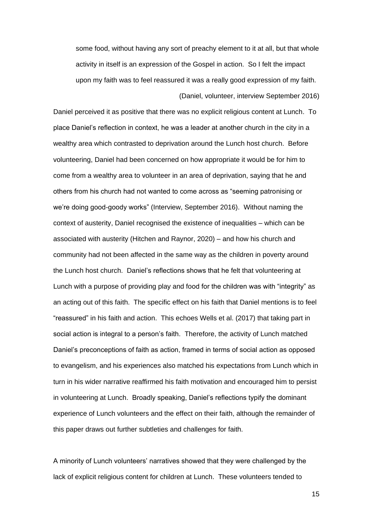some food, without having any sort of preachy element to it at all, but that whole activity in itself is an expression of the Gospel in action. So I felt the impact upon my faith was to feel reassured it was a really good expression of my faith. (Daniel, volunteer, interview September 2016)

Daniel perceived it as positive that there was no explicit religious content at Lunch. To place Daniel's reflection in context, he was a leader at another church in the city in a wealthy area which contrasted to deprivation around the Lunch host church. Before volunteering, Daniel had been concerned on how appropriate it would be for him to come from a wealthy area to volunteer in an area of deprivation, saying that he and others from his church had not wanted to come across as "seeming patronising or we're doing good-goody works" (Interview, September 2016). Without naming the context of austerity, Daniel recognised the existence of inequalities – which can be associated with austerity (Hitchen and Raynor, 2020) – and how his church and community had not been affected in the same way as the children in poverty around the Lunch host church. Daniel's reflections shows that he felt that volunteering at Lunch with a purpose of providing play and food for the children was with "integrity" as an acting out of this faith. The specific effect on his faith that Daniel mentions is to feel "reassured" in his faith and action. This echoes Wells et al. (2017) that taking part in social action is integral to a person's faith. Therefore, the activity of Lunch matched Daniel's preconceptions of faith as action, framed in terms of social action as opposed to evangelism, and his experiences also matched his expectations from Lunch which in turn in his wider narrative reaffirmed his faith motivation and encouraged him to persist in volunteering at Lunch. Broadly speaking, Daniel's reflections typify the dominant experience of Lunch volunteers and the effect on their faith, although the remainder of this paper draws out further subtleties and challenges for faith.

A minority of Lunch volunteers' narratives showed that they were challenged by the lack of explicit religious content for children at Lunch. These volunteers tended to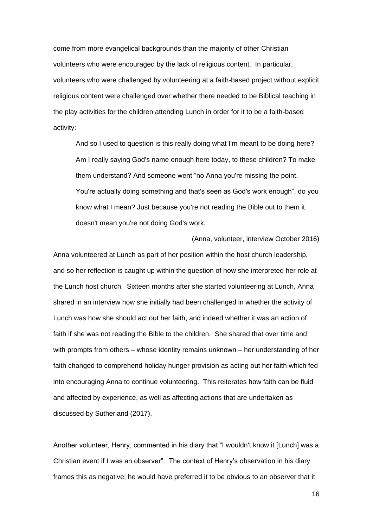come from more evangelical backgrounds than the majority of other Christian volunteers who were encouraged by the lack of religious content. In particular, volunteers who were challenged by volunteering at a faith-based project without explicit religious content were challenged over whether there needed to be Biblical teaching in the play activities for the children attending Lunch in order for it to be a faith-based activity:

And so I used to question is this really doing what I'm meant to be doing here? Am I really saying God's name enough here today, to these children? To make them understand? And someone went "no Anna you're missing the point. You're actually doing something and that's seen as God's work enough", do you know what I mean? Just because you're not reading the Bible out to them it doesn't mean you're not doing God's work.

(Anna, volunteer, interview October 2016)

Anna volunteered at Lunch as part of her position within the host church leadership, and so her reflection is caught up within the question of how she interpreted her role at the Lunch host church. Sixteen months after she started volunteering at Lunch, Anna shared in an interview how she initially had been challenged in whether the activity of Lunch was how she should act out her faith, and indeed whether it was an action of faith if she was not reading the Bible to the children. She shared that over time and with prompts from others – whose identity remains unknown – her understanding of her faith changed to comprehend holiday hunger provision as acting out her faith which fed into encouraging Anna to continue volunteering. This reiterates how faith can be fluid and affected by experience, as well as affecting actions that are undertaken as discussed by Sutherland (2017).

Another volunteer, Henry, commented in his diary that "I wouldn't know it [Lunch] was a Christian event if I was an observer". The context of Henry's observation in his diary frames this as negative; he would have preferred it to be obvious to an observer that it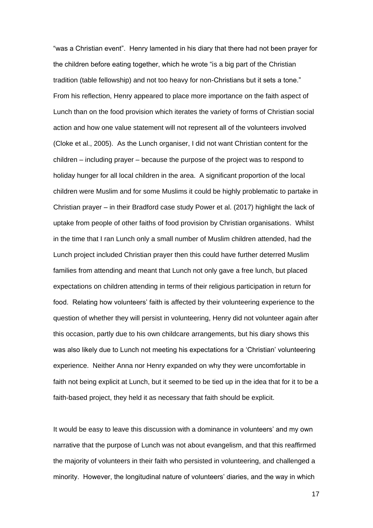"was a Christian event". Henry lamented in his diary that there had not been prayer for the children before eating together, which he wrote "is a big part of the Christian tradition (table fellowship) and not too heavy for non-Christians but it sets a tone." From his reflection, Henry appeared to place more importance on the faith aspect of Lunch than on the food provision which iterates the variety of forms of Christian social action and how one value statement will not represent all of the volunteers involved (Cloke et al., 2005). As the Lunch organiser, I did not want Christian content for the children – including prayer – because the purpose of the project was to respond to holiday hunger for all local children in the area. A significant proportion of the local children were Muslim and for some Muslims it could be highly problematic to partake in Christian prayer – in their Bradford case study Power et al. (2017) highlight the lack of uptake from people of other faiths of food provision by Christian organisations. Whilst in the time that I ran Lunch only a small number of Muslim children attended, had the Lunch project included Christian prayer then this could have further deterred Muslim families from attending and meant that Lunch not only gave a free lunch, but placed expectations on children attending in terms of their religious participation in return for food. Relating how volunteers' faith is affected by their volunteering experience to the question of whether they will persist in volunteering, Henry did not volunteer again after this occasion, partly due to his own childcare arrangements, but his diary shows this was also likely due to Lunch not meeting his expectations for a 'Christian' volunteering experience. Neither Anna nor Henry expanded on why they were uncomfortable in faith not being explicit at Lunch, but it seemed to be tied up in the idea that for it to be a faith-based project, they held it as necessary that faith should be explicit.

It would be easy to leave this discussion with a dominance in volunteers' and my own narrative that the purpose of Lunch was not about evangelism, and that this reaffirmed the majority of volunteers in their faith who persisted in volunteering, and challenged a minority. However, the longitudinal nature of volunteers' diaries, and the way in which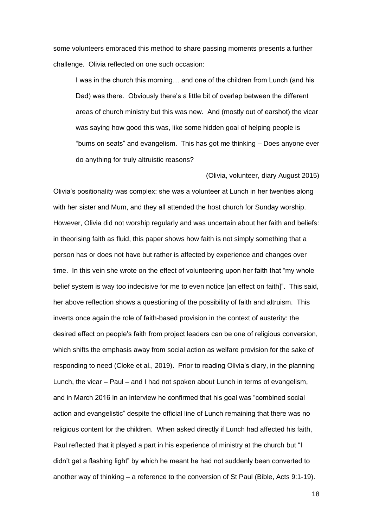some volunteers embraced this method to share passing moments presents a further challenge. Olivia reflected on one such occasion:

I was in the church this morning… and one of the children from Lunch (and his Dad) was there. Obviously there's a little bit of overlap between the different areas of church ministry but this was new. And (mostly out of earshot) the vicar was saying how good this was, like some hidden goal of helping people is "bums on seats" and evangelism. This has got me thinking – Does anyone ever do anything for truly altruistic reasons?

#### (Olivia, volunteer, diary August 2015)

Olivia's positionality was complex: she was a volunteer at Lunch in her twenties along with her sister and Mum, and they all attended the host church for Sunday worship. However, Olivia did not worship regularly and was uncertain about her faith and beliefs: in theorising faith as fluid, this paper shows how faith is not simply something that a person has or does not have but rather is affected by experience and changes over time. In this vein she wrote on the effect of volunteering upon her faith that "my whole belief system is way too indecisive for me to even notice [an effect on faith]". This said, her above reflection shows a questioning of the possibility of faith and altruism. This inverts once again the role of faith-based provision in the context of austerity: the desired effect on people's faith from project leaders can be one of religious conversion, which shifts the emphasis away from social action as welfare provision for the sake of responding to need (Cloke et al., 2019). Prior to reading Olivia's diary, in the planning Lunch, the vicar – Paul – and I had not spoken about Lunch in terms of evangelism, and in March 2016 in an interview he confirmed that his goal was "combined social action and evangelistic" despite the official line of Lunch remaining that there was no religious content for the children. When asked directly if Lunch had affected his faith, Paul reflected that it played a part in his experience of ministry at the church but "I didn't get a flashing light" by which he meant he had not suddenly been converted to another way of thinking – a reference to the conversion of St Paul (Bible, Acts 9:1-19).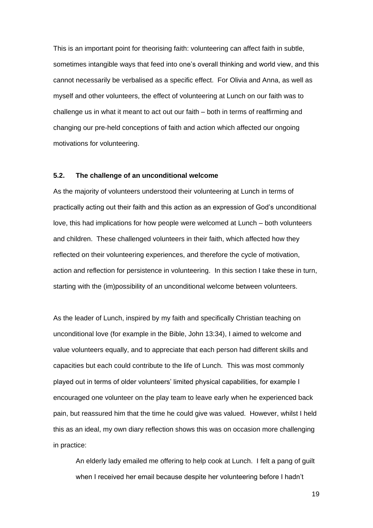This is an important point for theorising faith: volunteering can affect faith in subtle, sometimes intangible ways that feed into one's overall thinking and world view, and this cannot necessarily be verbalised as a specific effect. For Olivia and Anna, as well as myself and other volunteers, the effect of volunteering at Lunch on our faith was to challenge us in what it meant to act out our faith – both in terms of reaffirming and changing our pre-held conceptions of faith and action which affected our ongoing motivations for volunteering.

### **5.2. The challenge of an unconditional welcome**

As the majority of volunteers understood their volunteering at Lunch in terms of practically acting out their faith and this action as an expression of God's unconditional love, this had implications for how people were welcomed at Lunch – both volunteers and children. These challenged volunteers in their faith, which affected how they reflected on their volunteering experiences, and therefore the cycle of motivation, action and reflection for persistence in volunteering. In this section I take these in turn, starting with the (im)possibility of an unconditional welcome between volunteers.

As the leader of Lunch, inspired by my faith and specifically Christian teaching on unconditional love (for example in the Bible, John 13:34), I aimed to welcome and value volunteers equally, and to appreciate that each person had different skills and capacities but each could contribute to the life of Lunch. This was most commonly played out in terms of older volunteers' limited physical capabilities, for example I encouraged one volunteer on the play team to leave early when he experienced back pain, but reassured him that the time he could give was valued. However, whilst I held this as an ideal, my own diary reflection shows this was on occasion more challenging in practice:

An elderly lady emailed me offering to help cook at Lunch. I felt a pang of guilt when I received her email because despite her volunteering before I hadn't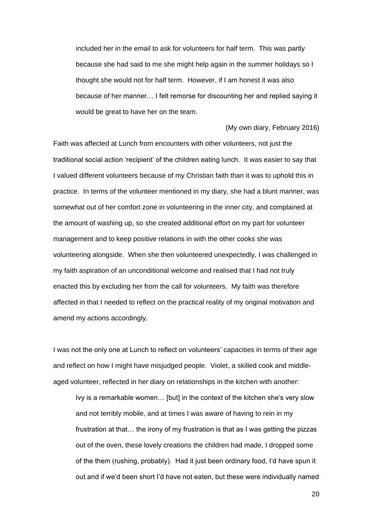included her in the email to ask for volunteers for half term. This was partly because she had said to me she might help again in the summer holidays so I thought she would not for half term. However, if I am honest it was also because of her manner… I felt remorse for discounting her and replied saying it would be great to have her on the team.

#### (My own diary, February 2016)

Faith was affected at Lunch from encounters with other volunteers, not just the traditional social action 'recipient' of the children eating lunch. It was easier to say that I valued different volunteers because of my Christian faith than it was to uphold this in practice. In terms of the volunteer mentioned in my diary, she had a blunt manner, was somewhat out of her comfort zone in volunteering in the inner city, and complained at the amount of washing up, so she created additional effort on my part for volunteer management and to keep positive relations in with the other cooks she was volunteering alongside. When she then volunteered unexpectedly, I was challenged in my faith aspiration of an unconditional welcome and realised that I had not truly enacted this by excluding her from the call for volunteers. My faith was therefore affected in that I needed to reflect on the practical reality of my original motivation and amend my actions accordingly.

I was not the only one at Lunch to reflect on volunteers' capacities in terms of their age and reflect on how I might have misjudged people. Violet, a skilled cook and middleaged volunteer, reflected in her diary on relationships in the kitchen with another:

Ivy is a remarkable women… [but] in the context of the kitchen she's very slow and not terribly mobile, and at times I was aware of having to rein in my frustration at that… the irony of my frustration is that as I was getting the pizzas out of the oven, these lovely creations the children had made, I dropped some of the them (rushing, probably). Had it just been ordinary food, I'd have spun it out and if we'd been short I'd have not eaten, but these were individually named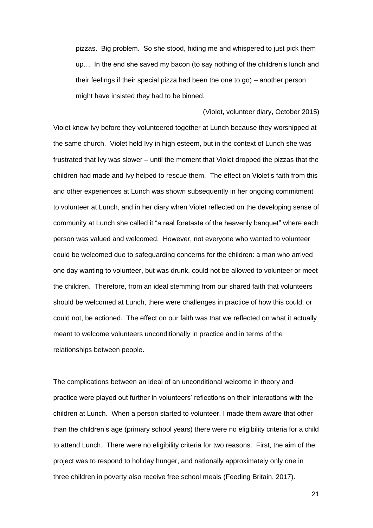pizzas. Big problem. So she stood, hiding me and whispered to just pick them up… In the end she saved my bacon (to say nothing of the children's lunch and their feelings if their special pizza had been the one to go) – another person might have insisted they had to be binned.

(Violet, volunteer diary, October 2015) Violet knew Ivy before they volunteered together at Lunch because they worshipped at the same church. Violet held Ivy in high esteem, but in the context of Lunch she was frustrated that Ivy was slower – until the moment that Violet dropped the pizzas that the children had made and Ivy helped to rescue them. The effect on Violet's faith from this and other experiences at Lunch was shown subsequently in her ongoing commitment to volunteer at Lunch, and in her diary when Violet reflected on the developing sense of community at Lunch she called it "a real foretaste of the heavenly banquet" where each person was valued and welcomed. However, not everyone who wanted to volunteer could be welcomed due to safeguarding concerns for the children: a man who arrived one day wanting to volunteer, but was drunk, could not be allowed to volunteer or meet the children. Therefore, from an ideal stemming from our shared faith that volunteers should be welcomed at Lunch, there were challenges in practice of how this could, or could not, be actioned. The effect on our faith was that we reflected on what it actually meant to welcome volunteers unconditionally in practice and in terms of the relationships between people.

The complications between an ideal of an unconditional welcome in theory and practice were played out further in volunteers' reflections on their interactions with the children at Lunch. When a person started to volunteer, I made them aware that other than the children's age (primary school years) there were no eligibility criteria for a child to attend Lunch. There were no eligibility criteria for two reasons. First, the aim of the project was to respond to holiday hunger, and nationally approximately only one in three children in poverty also receive free school meals (Feeding Britain, 2017).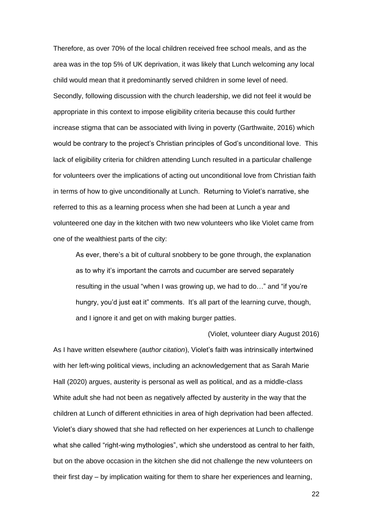Therefore, as over 70% of the local children received free school meals, and as the area was in the top 5% of UK deprivation, it was likely that Lunch welcoming any local child would mean that it predominantly served children in some level of need. Secondly, following discussion with the church leadership, we did not feel it would be appropriate in this context to impose eligibility criteria because this could further increase stigma that can be associated with living in poverty (Garthwaite, 2016) which would be contrary to the project's Christian principles of God's unconditional love. This lack of eligibility criteria for children attending Lunch resulted in a particular challenge for volunteers over the implications of acting out unconditional love from Christian faith in terms of how to give unconditionally at Lunch. Returning to Violet's narrative, she referred to this as a learning process when she had been at Lunch a year and volunteered one day in the kitchen with two new volunteers who like Violet came from one of the wealthiest parts of the city:

As ever, there's a bit of cultural snobbery to be gone through, the explanation as to why it's important the carrots and cucumber are served separately resulting in the usual "when I was growing up, we had to do…" and "if you're hungry, you'd just eat it" comments. It's all part of the learning curve, though, and I ignore it and get on with making burger patties.

(Violet, volunteer diary August 2016)

As I have written elsewhere (*author citation*), Violet's faith was intrinsically intertwined with her left-wing political views, including an acknowledgement that as Sarah Marie Hall (2020) argues, austerity is personal as well as political, and as a middle-class White adult she had not been as negatively affected by austerity in the way that the children at Lunch of different ethnicities in area of high deprivation had been affected. Violet's diary showed that she had reflected on her experiences at Lunch to challenge what she called "right-wing mythologies", which she understood as central to her faith, but on the above occasion in the kitchen she did not challenge the new volunteers on their first day – by implication waiting for them to share her experiences and learning,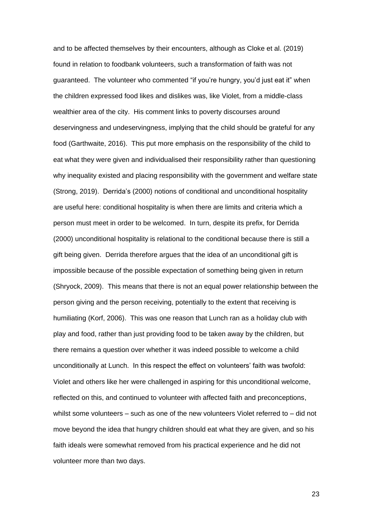and to be affected themselves by their encounters, although as Cloke et al. (2019) found in relation to foodbank volunteers, such a transformation of faith was not guaranteed. The volunteer who commented "if you're hungry, you'd just eat it" when the children expressed food likes and dislikes was, like Violet, from a middle-class wealthier area of the city. His comment links to poverty discourses around deservingness and undeservingness, implying that the child should be grateful for any food (Garthwaite, 2016). This put more emphasis on the responsibility of the child to eat what they were given and individualised their responsibility rather than questioning why inequality existed and placing responsibility with the government and welfare state (Strong, 2019). Derrida's (2000) notions of conditional and unconditional hospitality are useful here: conditional hospitality is when there are limits and criteria which a person must meet in order to be welcomed. In turn, despite its prefix, for Derrida (2000) unconditional hospitality is relational to the conditional because there is still a gift being given. Derrida therefore argues that the idea of an unconditional gift is impossible because of the possible expectation of something being given in return (Shryock, 2009). This means that there is not an equal power relationship between the person giving and the person receiving, potentially to the extent that receiving is humiliating (Korf, 2006). This was one reason that Lunch ran as a holiday club with play and food, rather than just providing food to be taken away by the children, but there remains a question over whether it was indeed possible to welcome a child unconditionally at Lunch. In this respect the effect on volunteers' faith was twofold: Violet and others like her were challenged in aspiring for this unconditional welcome, reflected on this, and continued to volunteer with affected faith and preconceptions, whilst some volunteers – such as one of the new volunteers Violet referred to – did not move beyond the idea that hungry children should eat what they are given, and so his faith ideals were somewhat removed from his practical experience and he did not volunteer more than two days.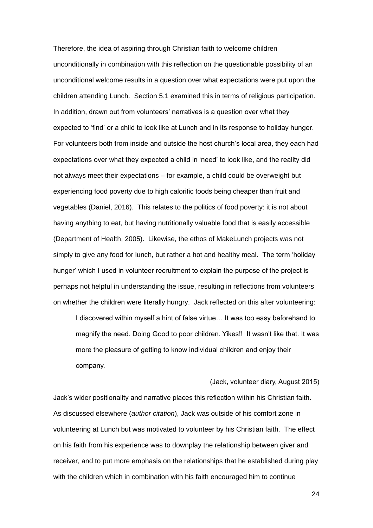Therefore, the idea of aspiring through Christian faith to welcome children unconditionally in combination with this reflection on the questionable possibility of an unconditional welcome results in a question over what expectations were put upon the children attending Lunch. Section 5.1 examined this in terms of religious participation. In addition, drawn out from volunteers' narratives is a question over what they expected to 'find' or a child to look like at Lunch and in its response to holiday hunger. For volunteers both from inside and outside the host church's local area, they each had expectations over what they expected a child in 'need' to look like, and the reality did not always meet their expectations – for example, a child could be overweight but experiencing food poverty due to high calorific foods being cheaper than fruit and vegetables (Daniel, 2016). This relates to the politics of food poverty: it is not about having anything to eat, but having nutritionally valuable food that is easily accessible (Department of Health, 2005). Likewise, the ethos of MakeLunch projects was not simply to give any food for lunch, but rather a hot and healthy meal. The term 'holiday hunger' which I used in volunteer recruitment to explain the purpose of the project is perhaps not helpful in understanding the issue, resulting in reflections from volunteers on whether the children were literally hungry. Jack reflected on this after volunteering:

I discovered within myself a hint of false virtue… It was too easy beforehand to magnify the need. Doing Good to poor children. Yikes!! It wasn't like that. It was more the pleasure of getting to know individual children and enjoy their company.

(Jack, volunteer diary, August 2015)

Jack's wider positionality and narrative places this reflection within his Christian faith. As discussed elsewhere (*author citation*), Jack was outside of his comfort zone in volunteering at Lunch but was motivated to volunteer by his Christian faith. The effect on his faith from his experience was to downplay the relationship between giver and receiver, and to put more emphasis on the relationships that he established during play with the children which in combination with his faith encouraged him to continue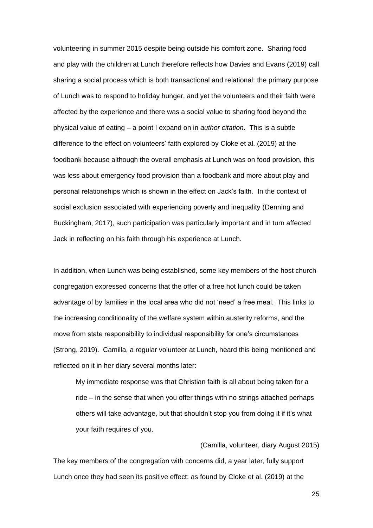volunteering in summer 2015 despite being outside his comfort zone. Sharing food and play with the children at Lunch therefore reflects how Davies and Evans (2019) call sharing a social process which is both transactional and relational: the primary purpose of Lunch was to respond to holiday hunger, and yet the volunteers and their faith were affected by the experience and there was a social value to sharing food beyond the physical value of eating – a point I expand on in *author citation*. This is a subtle difference to the effect on volunteers' faith explored by Cloke et al. (2019) at the foodbank because although the overall emphasis at Lunch was on food provision, this was less about emergency food provision than a foodbank and more about play and personal relationships which is shown in the effect on Jack's faith. In the context of social exclusion associated with experiencing poverty and inequality (Denning and Buckingham, 2017), such participation was particularly important and in turn affected Jack in reflecting on his faith through his experience at Lunch.

In addition, when Lunch was being established, some key members of the host church congregation expressed concerns that the offer of a free hot lunch could be taken advantage of by families in the local area who did not 'need' a free meal. This links to the increasing conditionality of the welfare system within austerity reforms, and the move from state responsibility to individual responsibility for one's circumstances (Strong, 2019). Camilla, a regular volunteer at Lunch, heard this being mentioned and reflected on it in her diary several months later:

My immediate response was that Christian faith is all about being taken for a ride – in the sense that when you offer things with no strings attached perhaps others will take advantage, but that shouldn't stop you from doing it if it's what your faith requires of you.

The key members of the congregation with concerns did, a year later, fully support Lunch once they had seen its positive effect: as found by Cloke et al. (2019) at the

25

(Camilla, volunteer, diary August 2015)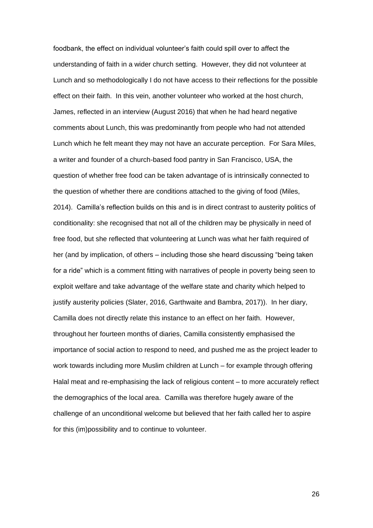foodbank, the effect on individual volunteer's faith could spill over to affect the understanding of faith in a wider church setting. However, they did not volunteer at Lunch and so methodologically I do not have access to their reflections for the possible effect on their faith. In this vein, another volunteer who worked at the host church, James, reflected in an interview (August 2016) that when he had heard negative comments about Lunch, this was predominantly from people who had not attended Lunch which he felt meant they may not have an accurate perception. For Sara Miles, a writer and founder of a church-based food pantry in San Francisco, USA, the question of whether free food can be taken advantage of is intrinsically connected to the question of whether there are conditions attached to the giving of food (Miles, 2014). Camilla's reflection builds on this and is in direct contrast to austerity politics of conditionality: she recognised that not all of the children may be physically in need of free food, but she reflected that volunteering at Lunch was what her faith required of her (and by implication, of others – including those she heard discussing "being taken for a ride" which is a comment fitting with narratives of people in poverty being seen to exploit welfare and take advantage of the welfare state and charity which helped to justify austerity policies (Slater, 2016, Garthwaite and Bambra, 2017)). In her diary, Camilla does not directly relate this instance to an effect on her faith. However, throughout her fourteen months of diaries, Camilla consistently emphasised the importance of social action to respond to need, and pushed me as the project leader to work towards including more Muslim children at Lunch – for example through offering Halal meat and re-emphasising the lack of religious content – to more accurately reflect the demographics of the local area. Camilla was therefore hugely aware of the challenge of an unconditional welcome but believed that her faith called her to aspire for this (im)possibility and to continue to volunteer.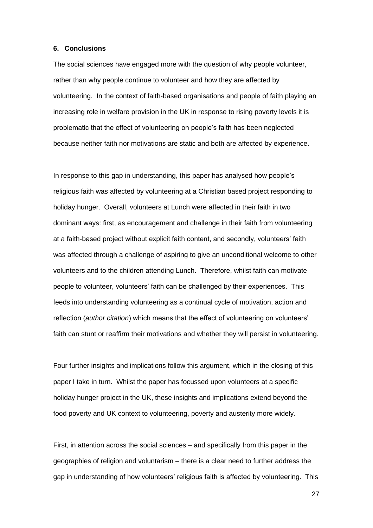### **6. Conclusions**

The social sciences have engaged more with the question of why people volunteer, rather than why people continue to volunteer and how they are affected by volunteering. In the context of faith-based organisations and people of faith playing an increasing role in welfare provision in the UK in response to rising poverty levels it is problematic that the effect of volunteering on people's faith has been neglected because neither faith nor motivations are static and both are affected by experience.

In response to this gap in understanding, this paper has analysed how people's religious faith was affected by volunteering at a Christian based project responding to holiday hunger. Overall, volunteers at Lunch were affected in their faith in two dominant ways: first, as encouragement and challenge in their faith from volunteering at a faith-based project without explicit faith content, and secondly, volunteers' faith was affected through a challenge of aspiring to give an unconditional welcome to other volunteers and to the children attending Lunch. Therefore, whilst faith can motivate people to volunteer, volunteers' faith can be challenged by their experiences. This feeds into understanding volunteering as a continual cycle of motivation, action and reflection (*author citation*) which means that the effect of volunteering on volunteers' faith can stunt or reaffirm their motivations and whether they will persist in volunteering.

Four further insights and implications follow this argument, which in the closing of this paper I take in turn. Whilst the paper has focussed upon volunteers at a specific holiday hunger project in the UK, these insights and implications extend beyond the food poverty and UK context to volunteering, poverty and austerity more widely.

First, in attention across the social sciences – and specifically from this paper in the geographies of religion and voluntarism – there is a clear need to further address the gap in understanding of how volunteers' religious faith is affected by volunteering. This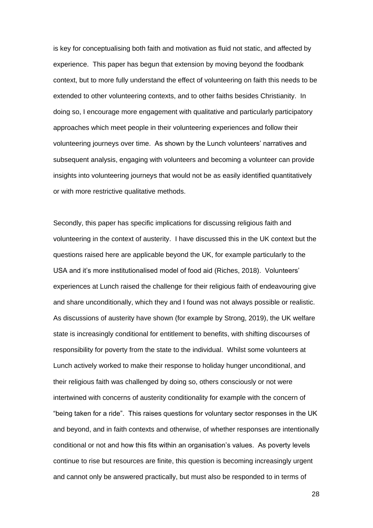is key for conceptualising both faith and motivation as fluid not static, and affected by experience. This paper has begun that extension by moving beyond the foodbank context, but to more fully understand the effect of volunteering on faith this needs to be extended to other volunteering contexts, and to other faiths besides Christianity. In doing so, I encourage more engagement with qualitative and particularly participatory approaches which meet people in their volunteering experiences and follow their volunteering journeys over time. As shown by the Lunch volunteers' narratives and subsequent analysis, engaging with volunteers and becoming a volunteer can provide insights into volunteering journeys that would not be as easily identified quantitatively or with more restrictive qualitative methods.

Secondly, this paper has specific implications for discussing religious faith and volunteering in the context of austerity. I have discussed this in the UK context but the questions raised here are applicable beyond the UK, for example particularly to the USA and it's more institutionalised model of food aid (Riches, 2018). Volunteers' experiences at Lunch raised the challenge for their religious faith of endeavouring give and share unconditionally, which they and I found was not always possible or realistic. As discussions of austerity have shown (for example by Strong, 2019), the UK welfare state is increasingly conditional for entitlement to benefits, with shifting discourses of responsibility for poverty from the state to the individual. Whilst some volunteers at Lunch actively worked to make their response to holiday hunger unconditional, and their religious faith was challenged by doing so, others consciously or not were intertwined with concerns of austerity conditionality for example with the concern of "being taken for a ride". This raises questions for voluntary sector responses in the UK and beyond, and in faith contexts and otherwise, of whether responses are intentionally conditional or not and how this fits within an organisation's values. As poverty levels continue to rise but resources are finite, this question is becoming increasingly urgent and cannot only be answered practically, but must also be responded to in terms of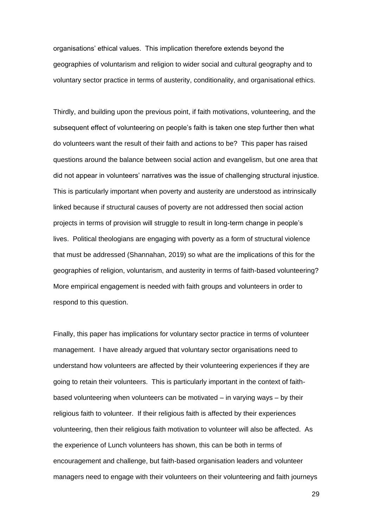organisations' ethical values. This implication therefore extends beyond the geographies of voluntarism and religion to wider social and cultural geography and to voluntary sector practice in terms of austerity, conditionality, and organisational ethics.

Thirdly, and building upon the previous point, if faith motivations, volunteering, and the subsequent effect of volunteering on people's faith is taken one step further then what do volunteers want the result of their faith and actions to be? This paper has raised questions around the balance between social action and evangelism, but one area that did not appear in volunteers' narratives was the issue of challenging structural injustice. This is particularly important when poverty and austerity are understood as intrinsically linked because if structural causes of poverty are not addressed then social action projects in terms of provision will struggle to result in long-term change in people's lives. Political theologians are engaging with poverty as a form of structural violence that must be addressed (Shannahan, 2019) so what are the implications of this for the geographies of religion, voluntarism, and austerity in terms of faith-based volunteering? More empirical engagement is needed with faith groups and volunteers in order to respond to this question.

Finally, this paper has implications for voluntary sector practice in terms of volunteer management. I have already argued that voluntary sector organisations need to understand how volunteers are affected by their volunteering experiences if they are going to retain their volunteers. This is particularly important in the context of faithbased volunteering when volunteers can be motivated – in varying ways – by their religious faith to volunteer. If their religious faith is affected by their experiences volunteering, then their religious faith motivation to volunteer will also be affected. As the experience of Lunch volunteers has shown, this can be both in terms of encouragement and challenge, but faith-based organisation leaders and volunteer managers need to engage with their volunteers on their volunteering and faith journeys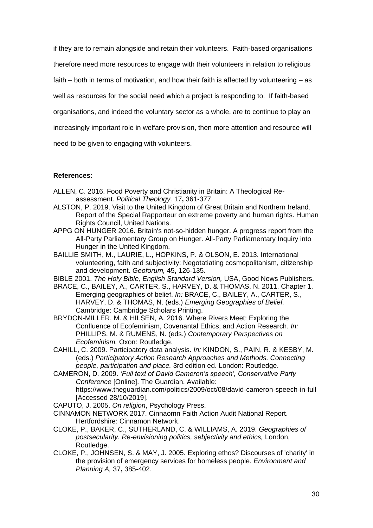if they are to remain alongside and retain their volunteers. Faith-based organisations therefore need more resources to engage with their volunteers in relation to religious faith – both in terms of motivation, and how their faith is affected by volunteering – as well as resources for the social need which a project is responding to. If faith-based organisations, and indeed the voluntary sector as a whole, are to continue to play an increasingly important role in welfare provision, then more attention and resource will need to be given to engaging with volunteers.

### **References:**

- ALLEN, C. 2016. Food Poverty and Christianity in Britain: A Theological Reassessment. *Political Theology,* 17**,** 361-377.
- ALSTON, P. 2019. Visit to the United Kingdom of Great Britain and Northern Ireland. Report of the Special Rapporteur on extreme poverty and human rights. Human Rights Council, United Nations.
- APPG ON HUNGER 2016. Britain's not-so-hidden hunger. A progress report from the All-Party Parliamentary Group on Hunger. All-Party Parliamentary Inquiry into Hunger in the United Kingdom.
- BAILLIE SMITH, M., LAURIE, L., HOPKINS, P. & OLSON, E. 2013. International volunteering, faith and subjectivity: Negotatiating cosmopolitanism, citizenship and development. *Geoforum,* 45**,** 126-135.

BIBLE 2001. *The Holy Bible, English Standard Version,* USA, Good News Publishers.

- BRACE, C., BAILEY, A., CARTER, S., HARVEY, D. & THOMAS, N. 2011. Chapter 1. Emerging geographies of belief. *In:* BRACE, C., BAILEY, A., CARTER, S., HARVEY, D. & THOMAS, N. (eds.) *Emerging Geographies of Belief.* Cambridge: Cambridge Scholars Printing.
- BRYDON-MILLER, M. & HILSEN, A. 2016. Where Rivers Meet: Exploring the Confluence of Ecofeminism, Covenantal Ethics, and Action Research. *In:* PHILLIPS, M. & RUMENS, N. (eds.) *Contemporary Perspectives on Ecofeminism.* Oxon: Routledge.
- CAHILL, C. 2009. Participatory data analysis. *In:* KINDON, S., PAIN, R. & KESBY, M. (eds.) *Participatory Action Research Approaches and Methods. Connecting people, participation and place.* 3rd edition ed. London: Routledge.

CAMERON, D. 2009. *'Full text of David Cameron's speech', Conservative Party Conference* [Online]. The Guardian. Available: [https://www.theguardian.com/politics/2009/oct/08/david-cameron-speech-in-full](ttps://www.theguardian.com/politics/2009/oct/08/david-cameron-speech-in-full)  [Accessed 28/10/2019].

CAPUTO, J. 2005. *On religion*, Psychology Press.

- CINNAMON NETWORK 2017. Cinnaomn Faith Action Audit National Report. Hertfordshire: Cinnamon Network.
- CLOKE, P., BAKER, C., SUTHERLAND, C. & WILLIAMS, A. 2019. *Geographies of postsecularity. Re-envisioning politics, sebjectivity and ethics,* London, Routledge.
- CLOKE, P., JOHNSEN, S. & MAY, J. 2005. Exploring ethos? Discourses of 'charity' in the provision of emergency services for homeless people. *Environment and Planning A,* 37**,** 385-402.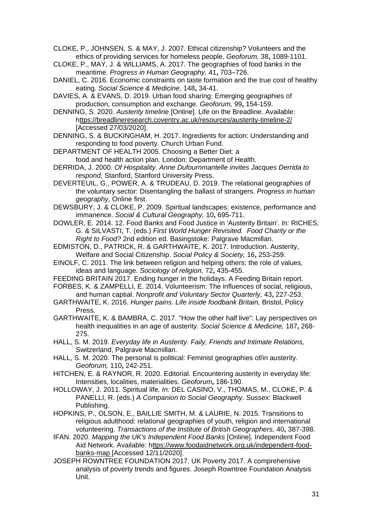CLOKE, P., JOHNSEN, S. & MAY, J. 2007. Ethical citizenship? Volunteers and the ethics of providing services for homeless people. *Geoforum,* 38**,** 1089-1101.

CLOKE, P., MAY, J. & WILLIAMS, A. 2017. The geographies of food banks in the meantime. *Progress in Human Geography,* 41**,** 703–726.

DANIEL, C. 2016. Economic constraints on taste formation and the true cost of healthy eating. *Social Science & Medicine,* 148**,** 34-41.

DAVIES, A. & EVANS, D. 2019. Urban food sharing: Emerging geographies of production, consumption and exchange. *Geoforum,* 99**,** 154-159.

DENNING, S. 2020. *Austerity timeline* [Online]. Life on the Breadline. Available: [https://breadlineresearch.coventry.ac.uk/resources/austerity-timeline-2/](ttps://breadlineresearch.coventry.ac.uk/resources/austerity-timeline-2/)  [Accessed 27/03/2020].

DENNING, S. & BUCKINGHAM, H. 2017. Ingredients for action: Understanding and responding to food poverty. Church Urban Fund.

DEPARTMENT OF HEALTH 2005. Choosing a Better Diet: a food and health action plan. London: Department of Health.

DERRIDA, J. 2000. *Of Hospitality. Anne Dufournmantelle invites Jacques Derrida to respond,* Stanford, Stanford University Press.

DEVERTEUIL, G., POWER, A. & TRUDEAU, D. 2019. The relational geographies of the voluntary sector: Disentangling the ballast of strangers. *Progress in human geography,* Online first.

DEWSBURY, J. & CLOKE, P. 2009. Spiritual landscapes: existence, performance and immanence. *Social & Cultural Geography,* 10**,** 695-711.

DOWLER, E. 2014. 12. Food Banks and Food Justice in 'Austerity Britain'. *In:* RICHES, G. & SILVASTI, T. (eds.) *First World Hunger Revisited. Food Charity or the Right to Food?* 2nd edition ed. Basingstoke: Palgrave Macmillan.

EDMISTON, D., PATRICK, R. & GARTHWAITE, K. 2017. Introduction. Austerity, Welfare and Social Citizenship. *Social Policy & Society,* 16**,** 253-259.

EINOLF, C. 2011. The link between religion and helping others: the role of values, ideas and language. *Sociology of religion,* 72**,** 435-455.

FEEDING BRITAIN 2017. Ending hunger in the holidays. A Feeding Britain report.

FORBES, K. & ZAMPELLI, E. 2014. Volunteerism: The influences of social, religious, and human captial. *Nonprofit and Voluntary Sector Quarterly,* 43**,** 227-253.

- GARTHWAITE, K. 2016. *Hunger pains. Life inside foodbank Britain,* Bristol, Policy Press.
- GARTHWAITE, K. & BAMBRA, C. 2017. "How the other half live": Lay perspectives on health inequalities in an age of austerity. *Social Science & Medicine,* 187**,** 268- 275.
- HALL, S. M. 2019. *Everyday life in Austerity. Faily, Friends and Intimate Relations,*  Switzerland, Palgrave Macmillan.

HALL, S. M. 2020. The personal is political: Feminist geographies of/in austerity. *Geoforum,* 110**,** 242-251.

HITCHEN, E. & RAYNOR, R. 2020. Editorial. Encountering austerity in everyday life: Intensities, localities, materialities. *Geoforum***,** 186-190.

HOLLOWAY, J. 2011. Spiritual life. *In:* DEL CASINO, V., THOMAS, M., CLOKE, P. & PANELLI, R. (eds.) *A Companion to Social Geography.* Sussex: Blackwell Publishing.

HOPKINS, P., OLSON, E., BAILLIE SMITH, M. & LAURIE, N. 2015. Transitions to religious adulthood: relational geographies of youth, religion and international volunteering. *Transactions of the Institute of British Geographers,* 40**,** 387-398.

IFAN. 2020. *Mapping the UK's Independent Food Banks* [Online]. Independent Food Aid Network. Available: [https://www.foodaidnetwork.org.uk/independent-food](ttps://www.foodaidnetwork.org.uk/independent-food-banks-map)[banks-map \[](ttps://www.foodaidnetwork.org.uk/independent-food-banks-map)Accessed 12/11/2020].

JOSEPH ROWNTREE FOUNDATION 2017. UK Poverty 2017. A comprehensive analysis of poverty trends and figures. Joseph Rowntree Foundation Analysis Unit.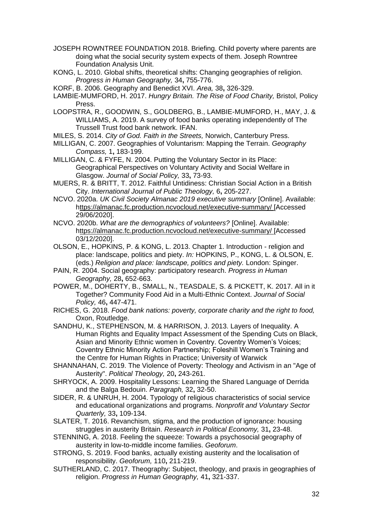- JOSEPH ROWNTREE FOUNDATION 2018. Briefing. Child poverty where parents are doing what the social security system expects of them. Joseph Rowntree Foundation Analysis Unit.
- KONG, L. 2010. Global shifts, theoretical shifts: Changing geographies of religion. *Progress in Human Geography,* 34**,** 755-776.
- KORF, B. 2006. Geography and Benedict XVI. *Area,* 38**,** 326-329.
- LAMBIE-MUMFORD, H. 2017. *Hungry Britain. The Rise of Food Charity,* Bristol, Policy Press.
- LOOPSTRA, R., GOODWIN, S., GOLDBERG, B., LAMBIE-MUMFORD, H., MAY, J. & WILLIAMS, A. 2019. A survey of food banks operating independently of The Trussell Trust food bank network. IFAN.
- MILES, S. 2014. *City of God. Faith in the Streets,* Norwich, Canterbury Press.
- MILLIGAN, C. 2007. Geographies of Voluntarism: Mapping the Terrain. *Geography Compass,* 1**,** 183-199.
- MILLIGAN, C. & FYFE, N. 2004. Putting the Voluntary Sector in its Place: Geographical Perspectives on Voluntary Activity and Social Welfare in Glasgow. *Journal of Social Policy,* 33**,** 73-93.
- MUERS, R. & BRITT, T. 2012. Faithful Untidiness: Christian Social Action in a British City. *International Journal of Public Theology,* 6**,** 205-227.
- NCVO. 2020a. *UK Civil Society Almanac 2019 executive summary* [Online]. Available: [https://almanac.fc.production.ncvocloud.net/executive-summary/ \[](ttps://almanac.fc.production.ncvocloud.net/executive-summary/)Accessed 29/06/2020].
- NCVO. 2020b. *What are the demographics of volunteers?* [Online]. Available: [https://almanac.fc.production.ncvocloud.net/executive-summary/ \[](ttps://almanac.fc.production.ncvocloud.net/executive-summary/)Accessed 03/12/2020].
- OLSON, E., HOPKINS, P. & KONG, L. 2013. Chapter 1. Introduction religion and place: landscape, politics and piety. *In:* HOPKINS, P., KONG, L. & OLSON, E. (eds.) *Religion and place: landscape, politics and piety.* London: Spinger.
- PAIN, R. 2004. Social geography: participatory research. *Progress in Human Geography,* 28**,** 652-663.
- POWER, M., DOHERTY, B., SMALL, N., TEASDALE, S. & PICKETT, K. 2017. All in it Together? Community Food Aid in a Multi-Ethnic Context. *Journal of Social Policy,* 46**,** 447-471.
- RICHES, G. 2018. *Food bank nations: poverty, corporate charity and the right to food,*  Oxon, Routledge.
- SANDHU, K., STEPHENSON, M. & HARRISON, J. 2013. Layers of Inequality. A Human Rights and Equality Impact Assessment of the Spending Cuts on Black, Asian and Minority Ethnic women in Coventry. Coventry Women's Voices; Coventry Ethnic Minority Action Partnership; Foleshill Women's Training and the Centre for Human Rights in Practice; University of Warwick
- SHANNAHAN, C. 2019. The Violence of Poverty: Theology and Activism in an "Age of Austerity". *Political Theology,* 20**,** 243-261.
- SHRYOCK, A. 2009. Hospitality Lessons: Learning the Shared Language of Derrida and the Balga Bedouin. *Paragraph,* 32**,** 32-50.
- SIDER, R. & UNRUH, H. 2004. Typology of religious characteristics of social service and educational organizations and programs. *Nonprofit and Voluntary Sector Quarterly,* 33**,** 109-134.
- SLATER, T. 2016. Revanchism, stigma, and the production of ignorance: housing struggles in austerity Britain. *Research in Political Economy,* 31**,** 23-48.
- STENNING, A. 2018. Feeling the squeeze: Towards a psychosocial geography of austerity in low-to-middle income families. *Geoforum*.
- STRONG, S. 2019. Food banks, actually existing austerity and the localisation of responsibility. *Geoforum,* 110**,** 211-219.
- SUTHERLAND, C. 2017. Theography: Subject, theology, and praxis in geographies of religion. *Progress in Human Geography,* 41**,** 321-337.